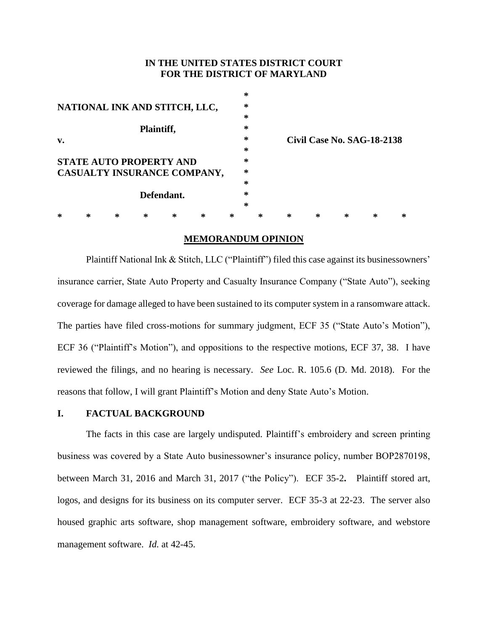## **IN THE UNITED STATES DISTRICT COURT FOR THE DISTRICT OF MARYLAND**

|                                                               |   |   |   |   |   |   | $\ast$ |   |   |                                   |   |   |   |  |
|---------------------------------------------------------------|---|---|---|---|---|---|--------|---|---|-----------------------------------|---|---|---|--|
| NATIONAL INK AND STITCH, LLC,                                 |   |   |   |   |   |   | ∗      |   |   |                                   |   |   |   |  |
|                                                               |   |   |   |   |   |   | $\ast$ |   |   |                                   |   |   |   |  |
| Plaintiff,                                                    |   |   |   |   |   |   | $\ast$ |   |   |                                   |   |   |   |  |
| v.                                                            |   |   |   |   |   |   | ∗      |   |   | <b>Civil Case No. SAG-18-2138</b> |   |   |   |  |
|                                                               |   |   |   |   |   |   | ∗      |   |   |                                   |   |   |   |  |
| <b>STATE AUTO PROPERTY AND</b><br>CASUALTY INSURANCE COMPANY, |   |   |   |   |   |   | $\ast$ |   |   |                                   |   |   |   |  |
|                                                               |   |   |   |   |   |   | ∗      |   |   |                                   |   |   |   |  |
|                                                               |   |   |   |   |   |   | $\ast$ |   |   |                                   |   |   |   |  |
| Defendant.                                                    |   |   |   |   |   |   | $\ast$ |   |   |                                   |   |   |   |  |
|                                                               |   |   |   |   |   |   | $\ast$ |   |   |                                   |   |   |   |  |
| ∗                                                             | ⋇ | ∗ | ∗ | ∗ | ∗ | ∗ |        | ∗ | ∗ | ∗                                 | ∗ | ∗ | ∗ |  |

## **MEMORANDUM OPINION**

Plaintiff National Ink & Stitch, LLC ("Plaintiff") filed this case against its businessowners' insurance carrier, State Auto Property and Casualty Insurance Company ("State Auto"), seeking coverage for damage alleged to have been sustained to its computer system in a ransomware attack. The parties have filed cross-motions for summary judgment, ECF 35 ("State Auto's Motion"), ECF 36 ("Plaintiff's Motion"), and oppositions to the respective motions, ECF 37, 38. I have reviewed the filings, and no hearing is necessary. *See* Loc. R. 105.6 (D. Md. 2018). For the reasons that follow, I will grant Plaintiff's Motion and deny State Auto's Motion.

## **I. FACTUAL BACKGROUND**

The facts in this case are largely undisputed. Plaintiff's embroidery and screen printing business was covered by a State Auto businessowner's insurance policy, number BOP2870198, between March 31, 2016 and March 31, 2017 ("the Policy"). ECF 35-2**.** Plaintiff stored art, logos, and designs for its business on its computer server. ECF 35-3 at 22-23. The server also housed graphic arts software, shop management software, embroidery software, and webstore management software. *Id.* at 42-45.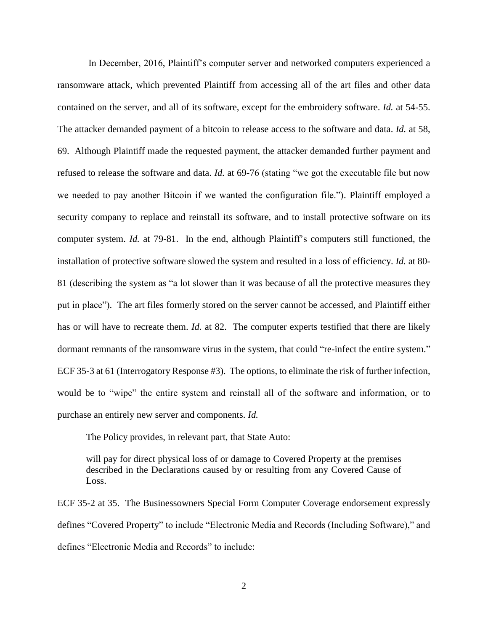In December, 2016, Plaintiff's computer server and networked computers experienced a ransomware attack, which prevented Plaintiff from accessing all of the art files and other data contained on the server, and all of its software, except for the embroidery software. *Id.* at 54-55. The attacker demanded payment of a bitcoin to release access to the software and data. *Id.* at 58, 69. Although Plaintiff made the requested payment, the attacker demanded further payment and refused to release the software and data. *Id.* at 69-76 (stating "we got the executable file but now we needed to pay another Bitcoin if we wanted the configuration file."). Plaintiff employed a security company to replace and reinstall its software, and to install protective software on its computer system. *Id.* at 79-81. In the end, although Plaintiff's computers still functioned, the installation of protective software slowed the system and resulted in a loss of efficiency. *Id.* at 80- 81 (describing the system as "a lot slower than it was because of all the protective measures they put in place"). The art files formerly stored on the server cannot be accessed, and Plaintiff either has or will have to recreate them. *Id.* at 82. The computer experts testified that there are likely dormant remnants of the ransomware virus in the system, that could "re-infect the entire system." ECF 35-3 at 61 (Interrogatory Response #3). The options, to eliminate the risk of further infection, would be to "wipe" the entire system and reinstall all of the software and information, or to purchase an entirely new server and components. *Id.*

The Policy provides, in relevant part, that State Auto:

will pay for direct physical loss of or damage to Covered Property at the premises described in the Declarations caused by or resulting from any Covered Cause of Loss.

ECF 35-2 at 35. The Businessowners Special Form Computer Coverage endorsement expressly defines "Covered Property" to include "Electronic Media and Records (Including Software)," and defines "Electronic Media and Records" to include:

2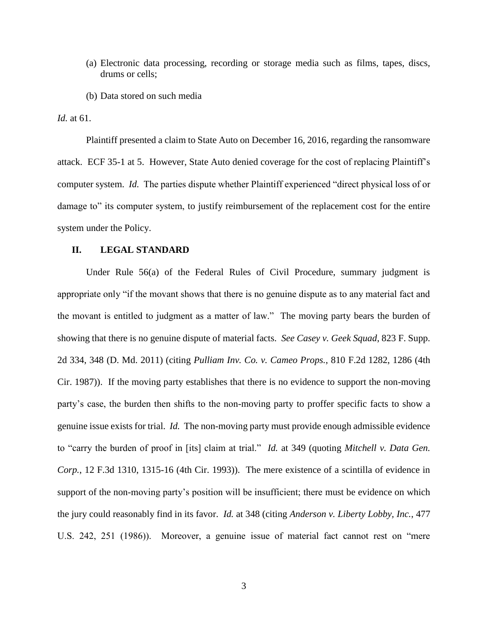- (a) Electronic data processing, recording or storage media such as films, tapes, discs, drums or cells;
- (b) Data stored on such media

*Id.* at 61.

Plaintiff presented a claim to State Auto on December 16, 2016, regarding the ransomware attack. ECF 35-1 at 5. However, State Auto denied coverage for the cost of replacing Plaintiff's computer system. *Id.* The parties dispute whether Plaintiff experienced "direct physical loss of or damage to" its computer system, to justify reimbursement of the replacement cost for the entire system under the Policy.

## **II. LEGAL STANDARD**

Under Rule 56(a) of the Federal Rules of Civil Procedure, summary judgment is appropriate only "if the movant shows that there is no genuine dispute as to any material fact and the movant is entitled to judgment as a matter of law." The moving party bears the burden of showing that there is no genuine dispute of material facts. *See Casey v. Geek Squad*, 823 F. Supp. 2d 334, 348 (D. Md. 2011) (citing *Pulliam Inv. Co. v. Cameo Props.*, 810 F.2d 1282, 1286 (4th Cir. 1987)). If the moving party establishes that there is no evidence to support the non-moving party's case, the burden then shifts to the non-moving party to proffer specific facts to show a genuine issue exists for trial. *Id.* The non-moving party must provide enough admissible evidence to "carry the burden of proof in [its] claim at trial." *Id.* at 349 (quoting *Mitchell v. Data Gen. Corp.*, 12 F.3d 1310, 1315-16 (4th Cir. 1993)). The mere existence of a scintilla of evidence in support of the non-moving party's position will be insufficient; there must be evidence on which the jury could reasonably find in its favor. *Id.* at 348 (citing *Anderson v. Liberty Lobby, Inc.*, 477 U.S. 242, 251 (1986)). Moreover, a genuine issue of material fact cannot rest on "mere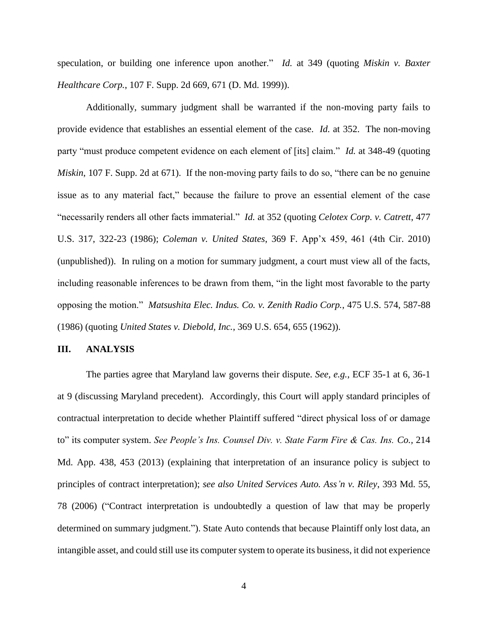speculation, or building one inference upon another." *Id.* at 349 (quoting *Miskin v. Baxter Healthcare Corp.*, 107 F. Supp. 2d 669, 671 (D. Md. 1999)).

Additionally, summary judgment shall be warranted if the non-moving party fails to provide evidence that establishes an essential element of the case. *Id.* at 352. The non-moving party "must produce competent evidence on each element of [its] claim." *Id.* at 348-49 (quoting *Miskin*, 107 F. Supp. 2d at 671). If the non-moving party fails to do so, "there can be no genuine issue as to any material fact," because the failure to prove an essential element of the case "necessarily renders all other facts immaterial." *Id.* at 352 (quoting *Celotex Corp. v. Catrett*, 477 U.S. 317, 322-23 (1986); *Coleman v. United States*, 369 F. App'x 459, 461 (4th Cir. 2010) (unpublished)). In ruling on a motion for summary judgment, a court must view all of the facts, including reasonable inferences to be drawn from them, "in the light most favorable to the party opposing the motion." *Matsushita Elec. Indus. Co. v. Zenith Radio Corp.*, 475 U.S. 574, 587-88 (1986) (quoting *United States v. Diebold, Inc.*, 369 U.S. 654, 655 (1962)).

#### **III. ANALYSIS**

The parties agree that Maryland law governs their dispute. *See, e.g.*, ECF 35-1 at 6, 36-1 at 9 (discussing Maryland precedent). Accordingly, this Court will apply standard principles of contractual interpretation to decide whether Plaintiff suffered "direct physical loss of or damage to" its computer system. *See People's Ins. Counsel Div. v. State Farm Fire & Cas. Ins. Co.,* 214 Md. App. 438, 453 (2013) (explaining that interpretation of an insurance policy is subject to principles of contract interpretation); *see also United Services Auto. Ass'n v. Riley*, 393 Md. 55, 78 (2006) ("Contract interpretation is undoubtedly a question of law that may be properly determined on summary judgment."). State Auto contends that because Plaintiff only lost data, an intangible asset, and could still use its computer system to operate its business, it did not experience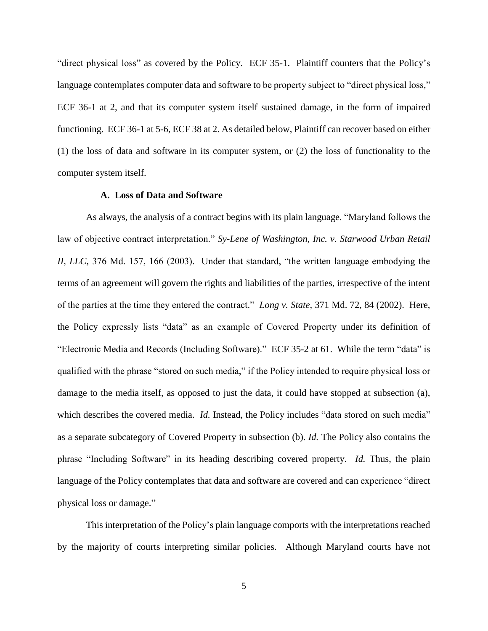"direct physical loss" as covered by the Policy. ECF 35-1. Plaintiff counters that the Policy's language contemplates computer data and software to be property subject to "direct physical loss," ECF 36-1 at 2, and that its computer system itself sustained damage, in the form of impaired functioning. ECF 36-1 at 5-6, ECF 38 at 2. As detailed below, Plaintiff can recover based on either (1) the loss of data and software in its computer system, or (2) the loss of functionality to the computer system itself.

#### **A. Loss of Data and Software**

As always, the analysis of a contract begins with its plain language. "Maryland follows the law of objective contract interpretation." *Sy-Lene of Washington, Inc. v. Starwood Urban Retail II, LLC,* 376 Md. 157, 166 (2003). Under that standard, "the written language embodying the terms of an agreement will govern the rights and liabilities of the parties, irrespective of the intent of the parties at the time they entered the contract." *Long v. State,* 371 Md. 72, 84 (2002). Here, the Policy expressly lists "data" as an example of Covered Property under its definition of "Electronic Media and Records (Including Software)." ECF 35-2 at 61. While the term "data" is qualified with the phrase "stored on such media," if the Policy intended to require physical loss or damage to the media itself, as opposed to just the data, it could have stopped at subsection (a), which describes the covered media. *Id.* Instead, the Policy includes "data stored on such media" as a separate subcategory of Covered Property in subsection (b). *Id.* The Policy also contains the phrase "Including Software" in its heading describing covered property. *Id.* Thus, the plain language of the Policy contemplates that data and software are covered and can experience "direct physical loss or damage."

This interpretation of the Policy's plain language comports with the interpretations reached by the majority of courts interpreting similar policies. Although Maryland courts have not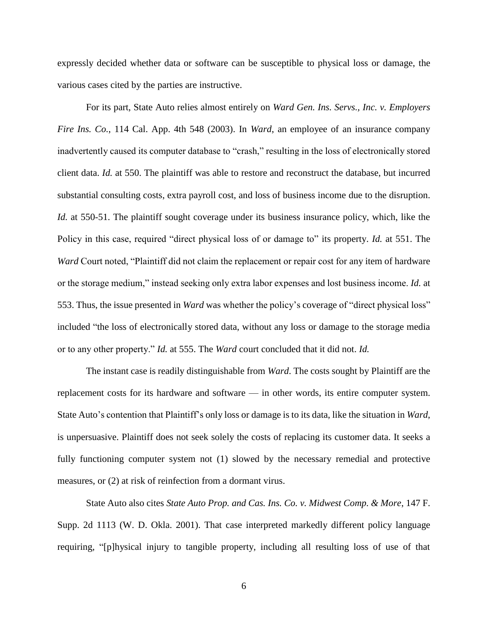expressly decided whether data or software can be susceptible to physical loss or damage, the various cases cited by the parties are instructive.

For its part, State Auto relies almost entirely on *Ward Gen. Ins. Servs., Inc. v. Employers Fire Ins. Co.*, 114 Cal. App. 4th 548 (2003). In *Ward*, an employee of an insurance company inadvertently caused its computer database to "crash," resulting in the loss of electronically stored client data. *Id.* at 550. The plaintiff was able to restore and reconstruct the database, but incurred substantial consulting costs, extra payroll cost, and loss of business income due to the disruption. *Id.* at 550-51. The plaintiff sought coverage under its business insurance policy, which, like the Policy in this case, required "direct physical loss of or damage to" its property. *Id.* at 551. The *Ward* Court noted, "Plaintiff did not claim the replacement or repair cost for any item of hardware or the storage medium," instead seeking only extra labor expenses and lost business income. *Id.* at 553. Thus, the issue presented in *Ward* was whether the policy's coverage of "direct physical loss" included "the loss of electronically stored data, without any loss or damage to the storage media or to any other property." *Id.* at 555. The *Ward* court concluded that it did not. *Id.*

The instant case is readily distinguishable from *Ward*. The costs sought by Plaintiff are the replacement costs for its hardware and software — in other words, its entire computer system. State Auto's contention that Plaintiff's only loss or damage is to its data, like the situation in *Ward*, is unpersuasive. Plaintiff does not seek solely the costs of replacing its customer data. It seeks a fully functioning computer system not (1) slowed by the necessary remedial and protective measures, or (2) at risk of reinfection from a dormant virus.

State Auto also cites *State Auto Prop. and Cas. Ins. Co. v. Midwest Comp. & More*, 147 F. Supp. 2d 1113 (W. D. Okla. 2001). That case interpreted markedly different policy language requiring, "[p]hysical injury to tangible property, including all resulting loss of use of that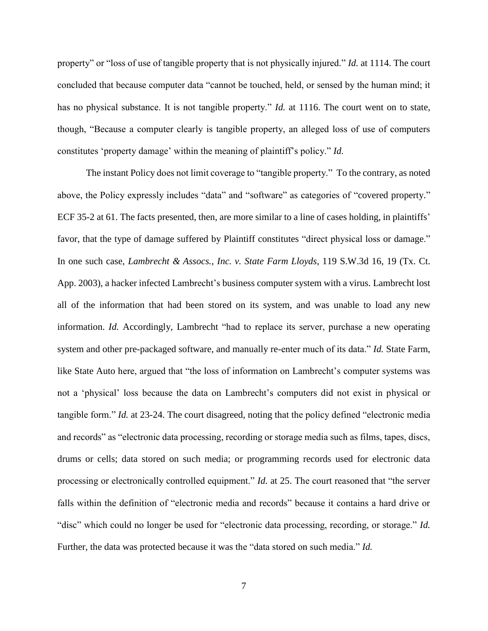property" or "loss of use of tangible property that is not physically injured." *Id.* at 1114. The court concluded that because computer data "cannot be touched, held, or sensed by the human mind; it has no physical substance. It is not tangible property." *Id.* at 1116. The court went on to state, though, "Because a computer clearly is tangible property, an alleged loss of use of computers constitutes 'property damage' within the meaning of plaintiff's policy." *Id.* 

The instant Policy does not limit coverage to "tangible property." To the contrary, as noted above, the Policy expressly includes "data" and "software" as categories of "covered property." ECF 35-2 at 61. The facts presented, then, are more similar to a line of cases holding, in plaintiffs' favor, that the type of damage suffered by Plaintiff constitutes "direct physical loss or damage." In one such case, *Lambrecht & Assocs., Inc. v. State Farm Lloyds*, 119 S.W.3d 16, 19 (Tx. Ct. App. 2003), a hacker infected Lambrecht's business computer system with a virus. Lambrecht lost all of the information that had been stored on its system, and was unable to load any new information. *Id.* Accordingly, Lambrecht "had to replace its server, purchase a new operating system and other pre-packaged software, and manually re-enter much of its data." *Id.* State Farm, like State Auto here, argued that "the loss of information on Lambrecht's computer systems was not a 'physical' loss because the data on Lambrecht's computers did not exist in physical or tangible form." *Id.* at 23-24. The court disagreed, noting that the policy defined "electronic media and records" as "electronic data processing, recording or storage media such as films, tapes, discs, drums or cells; data stored on such media; or programming records used for electronic data processing or electronically controlled equipment." *Id.* at 25. The court reasoned that "the server falls within the definition of "electronic media and records" because it contains a hard drive or "disc" which could no longer be used for "electronic data processing, recording, or storage." *Id.*  Further, the data was protected because it was the "data stored on such media." *Id.*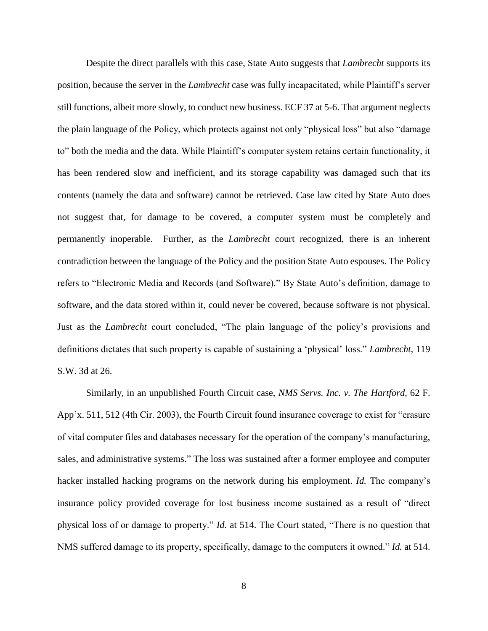Despite the direct parallels with this case, State Auto suggests that *Lambrecht* supports its position, because the server in the *Lambrecht* case was fully incapacitated, while Plaintiff's server still functions, albeit more slowly, to conduct new business. ECF 37 at 5-6. That argument neglects the plain language of the Policy, which protects against not only "physical loss" but also "damage to" both the media and the data. While Plaintiff's computer system retains certain functionality, it has been rendered slow and inefficient, and its storage capability was damaged such that its contents (namely the data and software) cannot be retrieved. Case law cited by State Auto does not suggest that, for damage to be covered, a computer system must be completely and permanently inoperable. Further, as the *Lambrecht* court recognized, there is an inherent contradiction between the language of the Policy and the position State Auto espouses. The Policy refers to "Electronic Media and Records (and Software)." By State Auto's definition, damage to software, and the data stored within it, could never be covered, because software is not physical. Just as the *Lambrecht* court concluded, "The plain language of the policy's provisions and definitions dictates that such property is capable of sustaining a 'physical' loss." *Lambrecht,* 119 S.W. 3d at 26.

Similarly, in an unpublished Fourth Circuit case, *NMS Servs. Inc. v. The Hartford*, 62 F. App'x. 511, 512 (4th Cir. 2003), the Fourth Circuit found insurance coverage to exist for "erasure of vital computer files and databases necessary for the operation of the company's manufacturing, sales, and administrative systems." The loss was sustained after a former employee and computer hacker installed hacking programs on the network during his employment. *Id.* The company's insurance policy provided coverage for lost business income sustained as a result of "direct physical loss of or damage to property." *Id.* at 514. The Court stated, "There is no question that NMS suffered damage to its property, specifically, damage to the computers it owned." *Id.* at 514.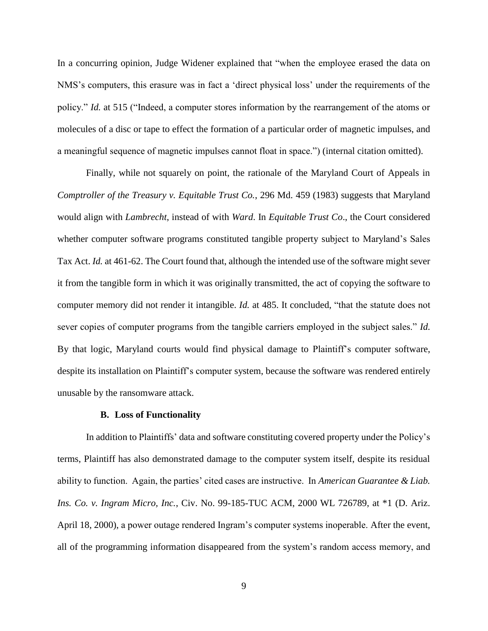In a concurring opinion, Judge Widener explained that "when the employee erased the data on NMS's computers, this erasure was in fact a 'direct physical loss' under the requirements of the policy." *Id.* at 515 ("Indeed, a computer stores information by the rearrangement of the atoms or molecules of a disc or tape to effect the formation of a particular order of magnetic impulses, and a meaningful sequence of magnetic impulses cannot float in space.") (internal citation omitted).

Finally, while not squarely on point, the rationale of the Maryland Court of Appeals in *Comptroller of the Treasury v. Equitable Trust Co.*, 296 Md. 459 (1983) suggests that Maryland would align with *Lambrecht*, instead of with *Ward*. In *Equitable Trust Co*., the Court considered whether computer software programs constituted tangible property subject to Maryland's Sales Tax Act. *Id.* at 461-62. The Court found that, although the intended use of the software might sever it from the tangible form in which it was originally transmitted, the act of copying the software to computer memory did not render it intangible. *Id.* at 485. It concluded, "that the statute does not sever copies of computer programs from the tangible carriers employed in the subject sales." *Id.*  By that logic, Maryland courts would find physical damage to Plaintiff's computer software, despite its installation on Plaintiff's computer system, because the software was rendered entirely unusable by the ransomware attack.

## **B. Loss of Functionality**

In addition to Plaintiffs' data and software constituting covered property under the Policy's terms, Plaintiff has also demonstrated damage to the computer system itself, despite its residual ability to function. Again, the parties' cited cases are instructive. In *American Guarantee & Liab. Ins. Co. v. Ingram Micro, Inc.*, Civ. No. 99-185-TUC ACM, 2000 WL 726789, at \*1 (D. Ariz. April 18, 2000), a power outage rendered Ingram's computer systems inoperable. After the event, all of the programming information disappeared from the system's random access memory, and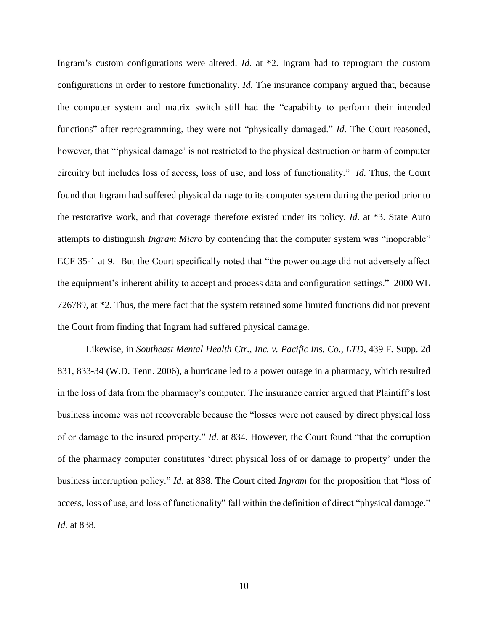Ingram's custom configurations were altered. *Id.* at \*2. Ingram had to reprogram the custom configurations in order to restore functionality. *Id.* The insurance company argued that, because the computer system and matrix switch still had the "capability to perform their intended functions" after reprogramming, they were not "physically damaged." *Id.* The Court reasoned, however, that "'physical damage' is not restricted to the physical destruction or harm of computer circuitry but includes loss of access, loss of use, and loss of functionality." *Id.* Thus, the Court found that Ingram had suffered physical damage to its computer system during the period prior to the restorative work, and that coverage therefore existed under its policy. *Id.* at \*3. State Auto attempts to distinguish *Ingram Micro* by contending that the computer system was "inoperable" ECF 35-1 at 9. But the Court specifically noted that "the power outage did not adversely affect the equipment's inherent ability to accept and process data and configuration settings." 2000 WL 726789, at \*2. Thus, the mere fact that the system retained some limited functions did not prevent the Court from finding that Ingram had suffered physical damage.

Likewise, in *Southeast Mental Health Ctr., Inc. v. Pacific Ins. Co., LTD*, 439 F. Supp. 2d 831, 833-34 (W.D. Tenn. 2006), a hurricane led to a power outage in a pharmacy, which resulted in the loss of data from the pharmacy's computer. The insurance carrier argued that Plaintiff's lost business income was not recoverable because the "losses were not caused by direct physical loss of or damage to the insured property." *Id.* at 834. However, the Court found "that the corruption of the pharmacy computer constitutes 'direct physical loss of or damage to property' under the business interruption policy." *Id.* at 838. The Court cited *Ingram* for the proposition that "loss of access, loss of use, and loss of functionality" fall within the definition of direct "physical damage." *Id.* at 838.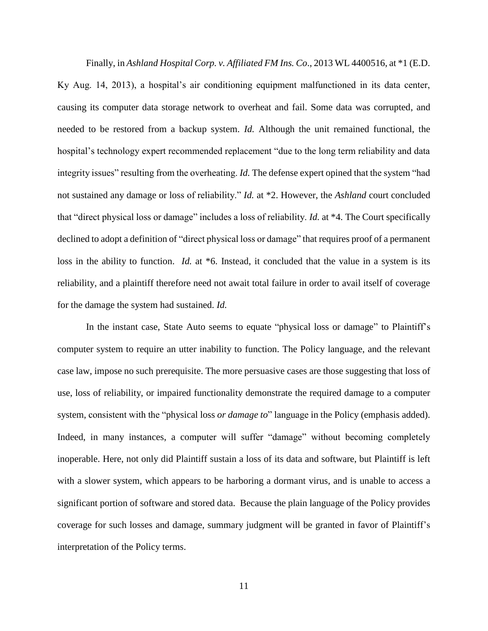Finally, in *Ashland Hospital Corp. v. Affiliated FM Ins. Co*., 2013 WL 4400516, at \*1 (E.D. Ky Aug. 14, 2013), a hospital's air conditioning equipment malfunctioned in its data center, causing its computer data storage network to overheat and fail. Some data was corrupted, and needed to be restored from a backup system. *Id.* Although the unit remained functional, the hospital's technology expert recommended replacement "due to the long term reliability and data integrity issues" resulting from the overheating. *Id.* The defense expert opined that the system "had not sustained any damage or loss of reliability." *Id.* at \*2. However, the *Ashland* court concluded that "direct physical loss or damage" includes a loss of reliability. *Id.* at \*4. The Court specifically declined to adopt a definition of "direct physical loss or damage" that requires proof of a permanent loss in the ability to function. *Id.* at \*6. Instead, it concluded that the value in a system is its reliability, and a plaintiff therefore need not await total failure in order to avail itself of coverage for the damage the system had sustained. *Id.*

In the instant case, State Auto seems to equate "physical loss or damage" to Plaintiff's computer system to require an utter inability to function. The Policy language, and the relevant case law, impose no such prerequisite. The more persuasive cases are those suggesting that loss of use, loss of reliability, or impaired functionality demonstrate the required damage to a computer system, consistent with the "physical loss *or damage to*" language in the Policy (emphasis added). Indeed, in many instances, a computer will suffer "damage" without becoming completely inoperable. Here, not only did Plaintiff sustain a loss of its data and software, but Plaintiff is left with a slower system, which appears to be harboring a dormant virus, and is unable to access a significant portion of software and stored data. Because the plain language of the Policy provides coverage for such losses and damage, summary judgment will be granted in favor of Plaintiff's interpretation of the Policy terms.